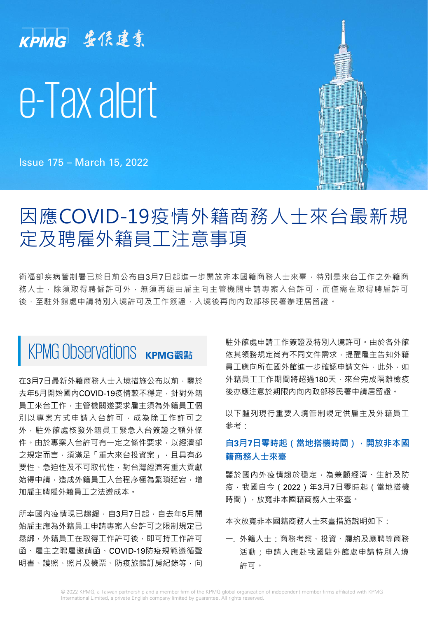# KPMG 安侯建業 e-Tax alert

Issue 175 – March 15, 2022



### 因應COVID-19疫情外籍商務人士來台最新規 定及聘雇外籍員工注意事項

衛福部疾病管制署已於日前公布自3月7日起進一步開放非本國籍商務人士來臺,特別是來台工作之外籍商 務人士,除須取得聘僱許可外,無須再經由雇主向主管機關申請專案入台許可,而僅需在取得聘雇許可 後,至駐外館處申請特別入境許可及工作簽證,入境後再向內政部移民署辦理居留證。

# KPMG Observations KPMG觀點

在3月7日最新外籍商務人士入境措施公布以前,鑒於 去年5月開始國內COVID-19疫情較不穩定, 針對外籍 員工來台工作,主管機關遂要求雇主須為外籍員工個 別以專案方式申請入台許可,成為除工作許可之 外,駐外館處核發外籍員工緊急入台簽證之額外條 件。由於專案入台許可有一定之條件要求,以經濟部 之規定而言, 須滿足「重大來台投資案」, 且具有必 要性、急迫性及不可取代性,對台灣經濟有重大貢獻 始得申請,造成外籍員工入台程序極為繁瑣延宕,增 加雇主聘雇外籍員工之法遵成本。

所幸國內疫情現已趨緩,自3月7日起,自去年5月開 始雇主應為外籍員工申請專案入台許可之限制規定已 鬆綁,外籍員工在取得工作許可後,即可持工作許可 函、雇主之聘雇邀請函、COVID-19防疫規範遵循聲 明書、護照、照片及機票、防疫旅館訂房紀錄等,向 駐外館處申請工作簽證及特別入境許可。由於各外館 依其領務規定尚有不同文件需求,提醒雇主告知外籍 員工應向所在國外館進一步確認申請文件,此外,如 外籍員工工作期間將超過180天,來台完成隔離檢疫 後亦應注意於期限內向內政部移民署申請居留證。

以下臚列現行重要入境管制規定供雇主及外籍員工 參考:

#### **自3月7日零時起(當地搭機時間),開放非本國 籍商務人士來臺**

鑒於國內外疫情趨於穩定,為兼顧經濟、生計及防 疫,我國自今(2022)年3月7日零時起(當地搭機 時間),放寬非本國籍商務人士來臺。

本次放寬非本國籍商務人士來臺措施說明如下:

一. 外籍人士:商務考察、投資、履約及應聘等商務 活動;申請人應赴我國駐外館處申請特別入境 許可。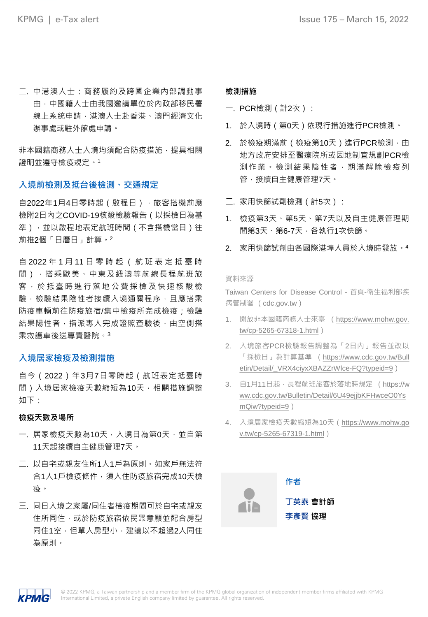二. 中港澳人士:商務履約及跨國企業內部調動事 由,中國籍人士由我國邀請單位於內政部移民署 線上系統申請,港澳人士赴香港、澳門經濟文化 辦事處或駐外館處申請。

非本國籍商務人士入境均須配合防疫措施,提具相關 證明並遵守檢疫規定。<sup>1</sup>

#### **入境前檢測及抵台後檢測、交通規定**

自2022年1月4日零時起(啟程日),旅客搭機前應 檢附2日內之COVID-19核酸檢驗報告(以採檢日為基 準),並以啟程地表定航班時間(不含搭機當日)往 前推2個「日曆日」計算。<sup>2</sup>

自 2022 年 1 月 11 日零時起 ( 航 班 表 定 抵 臺 時 間),搭乘歐美、中東及紐澳等航線長程航班旅 客, 於 抵 臺 時 進 行 落 地 公 費 採 檢 及 快 速 核 酸 檢 驗,檢驗結果陰性者接續入境通關程序,目應搭乘 防疫車輛前往防疫旅宿/集中檢疫所完成檢疫;檢驗 結果陽性者,指派專人完成證照查驗後,由空側搭 乘救護車後送專責醫院。<sup>3</sup>

#### **入境居家檢疫及檢測措施**

自今(2022)年3月7日零時起(航班表定抵臺時 間)入境居家檢疫天數縮短為10天,相關措施調整 如下:

#### **檢疫天數及場所**

- 一. 居家檢疫天數為10天, 入境日為第0天, 並自第 11天起接續自主健康管理7天。
- 二. 以自宅或親友住所1人1戶為原則。如家戶無法符 合1人1戶檢疫條件,須入住防疫旅宿完成10天檢 疫。
- 三. 同日入境之家屬/同住者檢疫期間可於自宅或親友 住所同住,或於防疫旅宿依民眾意願並配合房型 同住1室,但單人房型小,建議以不超過2人同住 為原則。

#### **檢測措施**

- 一. PCR檢測(計2次):
- 1. 於入境時(第0天)依現行措施進行PCR檢測。
- 2. 於檢疫期滿前 (檢疫第10天)進行PCR檢測,由 地方政府安排至醫療院所或因地制宜規劃PCR檢 測作業。檢測結果陰性者,期滿解除檢疫列 管,接續自主健康管理7天。
- 二. 家用快篩試劑檢測(計5次):
- 1. 檢疫第3天、第5天、第7天以及自主健康管理期 間第3天、第6-7天,各執行1次快篩。
- 2. 家用快篩試劑由各國際港埠人員於入境時發放。<sup>4</sup>

#### 資料來源

Taiwan Centers for Disease Control - 首頁-衛生福利部疾 病管制署 (cdc.gov.tw)

- 1. 開放非本國籍商務人士來臺 (https://www.mohw.gov. [tw/cp-5265-67318-1.html](https://www.mohw.gov.tw/cp-5265-67318-1.html))
- 2. 入境旅客PCR檢驗報告調整為「2日內」報告並改以 「採檢日」為計算基準 (https://www.cdc.gov.tw/Bull [etin/Detail/\\_VRX4ciyxXBAZZrWlce-FQ?typeid=9](https://www.cdc.gov.tw/Bulletin/Detail/_VRX4ciyxXBAZZrWlce-FQ?typeid=9))
- 3. 自1月11日起,長程航班旅客於落地時規定 (https://w [ww.cdc.gov.tw/Bulletin/Detail/6U49ejjbKFHwceO0Ys](https://www.cdc.gov.tw/Bulletin/Detail/6U49ejjbKFHwceO0YsmQiw?typeid=9) mQiw?typeid=9)
- 4. 入境居家檢疫天數縮短為10天(https://www.mohw.go [v.tw/cp-5265-67319-1.html](https://www.mohw.gov.tw/cp-5265-67319-1.html))



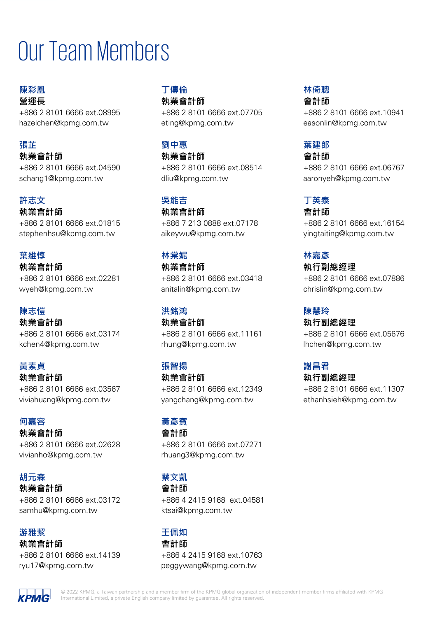# Our Team Members

**陳彩凰 營運長** +886 2 8101 6666 ext.08995 hazelchen@kpmg.com.tw

#### **張芷**

**執業會計師** +886 2 8101 6666 ext.04590 schang1@kpmg.com.tw

#### **許志文**

**執業會計師** +886 2 8101 6666 ext.01815 stephenhsu@kpmg.com.tw

#### **葉維惇**

**執業會計師** +886 2 8101 6666 ext.02281 wyeh@kpmg.com.tw

#### **陳志愷**

**執業會計師** +886 2 8101 6666 ext.03174 kchen4@kpmg.com.tw

#### **黃素貞**

**執業會計師** +886 2 8101 6666 ext.03567 viviahuang@kpmg.com.tw

#### **何嘉容**

**執業會計師** +886 2 8101 6666 ext.02628 vivianho@kpmg.com.tw

#### **胡元森**

**執業會計師** +886 2 8101 6666 ext.03172 samhu@kpmg.com.tw

#### **游雅絜**

**執業會計師**

+886 2 8101 6666 ext.14139 ryu17@kpmg.com.tw

#### **丁傳倫 執業會計師**

+886 2 8101 6666 ext.07705 eting@kpmg.com.tw

#### **劉中惠**

**執業會計師** +886 2 8101 6666 ext.08514 dliu@kpmg.com.tw

#### **吳能吉**

**執業會計師** +886 7 213 0888 ext.07178 aikeywu@kpmg.com.tw

#### **林棠妮**

**執業會計師** +886 2 8101 6666 ext.03418 anitalin@kpmg.com.tw

#### **洪銘鴻**

**執業會計師** +886 2 8101 6666 ext.11161 rhung@kpmg.com.tw

#### **張智揚**

**執業會計師** +886 2 8101 6666 ext.12349 yangchang@kpmg.com.tw

#### **黃彥賓**

**會計師** +886 2 8101 6666 ext.07271 rhuang3@kpmg.com.tw

#### **蔡文凱**

**會計師**

+886 4 2415 9168 ext.04581 ktsai@kpmg.com.tw

#### **王佩如**

**會計師** +886 4 2415 9168 ext.10763 peggywang@kpmg.com.tw

#### **林倚聰 會計師**

+886 2 8101 6666 ext.10941 easonlin@kpmg.com.tw

#### **葉建郎**

**會計師** +886 2 8101 6666 ext.06767 aaronyeh@kpmg.com.tw

#### **丁英泰**

**會計師**

+886 2 8101 6666 ext.16154 yingtaiting@kpmg.com.tw

#### **林嘉彥**

**執行副總經理** +886 2 8101 6666 ext.07886 chrislin@kpmg.com.tw

#### **陳慧玲**

**執行副總經理** +886 2 8101 6666 ext.05676 lhchen@kpmg.com.tw

#### **謝昌君**

**執行副總經理** +886 2 8101 6666 ext.11307 ethanhsieh@kpmg.com.tw